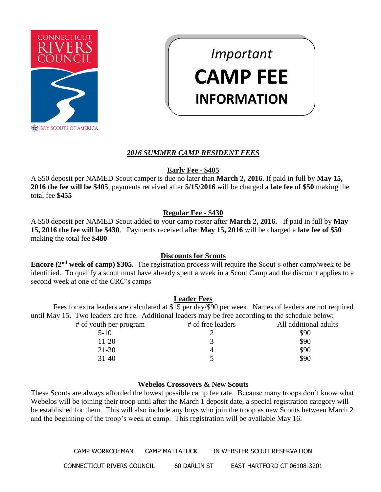

# *Important* **CAMP FEE INFORMATION**

# *2016 SUMMER CAMP RESIDENT FEES*

### **Early Fee - \$405**

A \$50 deposit per NAMED Scout camper is due no later than **March 2, 2016**. If paid in full by **May 15, 2016 the fee will be \$405**, payments received after **5/15/2016** will be charged a **late fee of \$50** making the total fee **\$455**

### **Regular Fee - \$430**

A \$50 deposit per NAMED Scout added to your camp roster after **March 2, 2016.** If paid in full by **May 15, 2016 the fee will be \$430**. Payments received after **May 15, 2016** will be charged a **late fee of \$50** making the total fee **\$480**

# **Discounts for Scouts**

**Encore (2nd week of camp) \$305.** The registration process will require the Scout's other camp/week to be identified. To qualify a scout must have already spent a week in a Scout Camp and the discount applies to a second week at one of the CRC's camps

# **Leader Fees**

Fees for extra leaders are calculated at \$15 per day/\$90 per week. Names of leaders are not required until May 15. Two leaders are free. Additional leaders may be free according to the schedule below: # of youth per program # of free leaders All additional adults  $5-10$   $2$  \$90  $11-20$  3 \$90  $21-30$  4 \$90

# **Webelos Crossovers & New Scouts**

 $31-40$   $5$  \$90

These Scouts are always afforded the lowest possible camp fee rate. Because many troops don't know what Webelos will be joining their troop until after the March 1 deposit date, a special registration category will be established for them. This will also include any boys who join the troop as new Scouts between March 2 and the beginning of the troop's week at camp. This registration will be available May 16.

> CAMP WORKCOEMAN CAMP MATTATUCK JN WEBSTER SCOUT RESERVATION CONNECTICUT RIVERS COUNCIL 60 DARLIN ST EAST HARTFORD CT 06108-3201